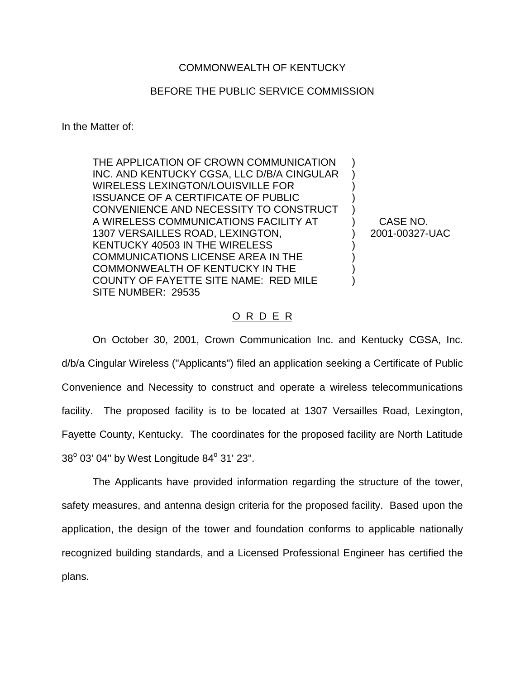## COMMONWEALTH OF KENTUCKY

## BEFORE THE PUBLIC SERVICE COMMISSION

In the Matter of:

THE APPLICATION OF CROWN COMMUNICATION INC. AND KENTUCKY CGSA, LLC D/B/A CINGULAR WIRELESS LEXINGTON/LOUISVILLE FOR ISSUANCE OF A CERTIFICATE OF PUBLIC CONVENIENCE AND NECESSITY TO CONSTRUCT A WIRELESS COMMUNICATIONS FACILITY AT 1307 VERSAILLES ROAD, LEXINGTON, KENTUCKY 40503 IN THE WIRELESS COMMUNICATIONS LICENSE AREA IN THE COMMONWEALTH OF KENTUCKY IN THE COUNTY OF FAYETTE SITE NAME: RED MILE SITE NUMBER: 29535

CASE NO. 2001-00327-UAC

) ) ) ) ) ) ) ) ) ) )

## O R D E R

On October 30, 2001, Crown Communication Inc. and Kentucky CGSA, Inc. d/b/a Cingular Wireless ("Applicants") filed an application seeking a Certificate of Public Convenience and Necessity to construct and operate a wireless telecommunications facility. The proposed facility is to be located at 1307 Versailles Road, Lexington, Fayette County, Kentucky. The coordinates for the proposed facility are North Latitude  $38^{\circ}$  03' 04" by West Longitude  $84^{\circ}$  31' 23".

The Applicants have provided information regarding the structure of the tower, safety measures, and antenna design criteria for the proposed facility. Based upon the application, the design of the tower and foundation conforms to applicable nationally recognized building standards, and a Licensed Professional Engineer has certified the plans.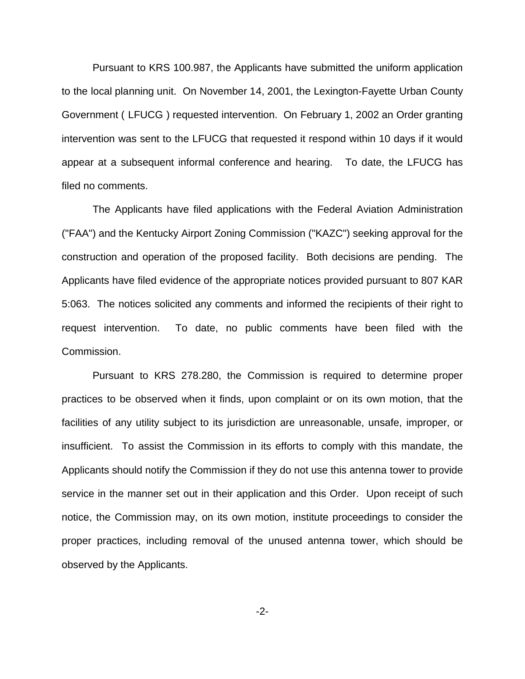Pursuant to KRS 100.987, the Applicants have submitted the uniform application to the local planning unit. On November 14, 2001, the Lexington-Fayette Urban County Government ( LFUCG ) requested intervention. On February 1, 2002 an Order granting intervention was sent to the LFUCG that requested it respond within 10 days if it would appear at a subsequent informal conference and hearing. To date, the LFUCG has filed no comments.

The Applicants have filed applications with the Federal Aviation Administration ("FAA") and the Kentucky Airport Zoning Commission ("KAZC") seeking approval for the construction and operation of the proposed facility. Both decisions are pending. The Applicants have filed evidence of the appropriate notices provided pursuant to 807 KAR 5:063. The notices solicited any comments and informed the recipients of their right to request intervention. To date, no public comments have been filed with the Commission.

Pursuant to KRS 278.280, the Commission is required to determine proper practices to be observed when it finds, upon complaint or on its own motion, that the facilities of any utility subject to its jurisdiction are unreasonable, unsafe, improper, or insufficient. To assist the Commission in its efforts to comply with this mandate, the Applicants should notify the Commission if they do not use this antenna tower to provide service in the manner set out in their application and this Order. Upon receipt of such notice, the Commission may, on its own motion, institute proceedings to consider the proper practices, including removal of the unused antenna tower, which should be observed by the Applicants.

-2-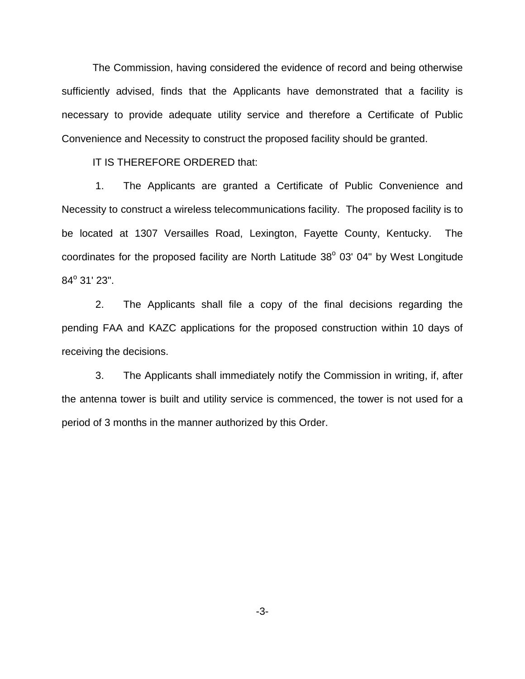The Commission, having considered the evidence of record and being otherwise sufficiently advised, finds that the Applicants have demonstrated that a facility is necessary to provide adequate utility service and therefore a Certificate of Public Convenience and Necessity to construct the proposed facility should be granted.

IT IS THEREFORE ORDERED that:

1. The Applicants are granted a Certificate of Public Convenience and Necessity to construct a wireless telecommunications facility. The proposed facility is to be located at 1307 Versailles Road, Lexington, Fayette County, Kentucky. The coordinates for the proposed facility are North Latitude  $38^{\circ}$  03' 04" by West Longitude  $84^{\circ}$  31' 23".

2. The Applicants shall file a copy of the final decisions regarding the pending FAA and KAZC applications for the proposed construction within 10 days of receiving the decisions.

3. The Applicants shall immediately notify the Commission in writing, if, after the antenna tower is built and utility service is commenced, the tower is not used for a period of 3 months in the manner authorized by this Order.

-3-